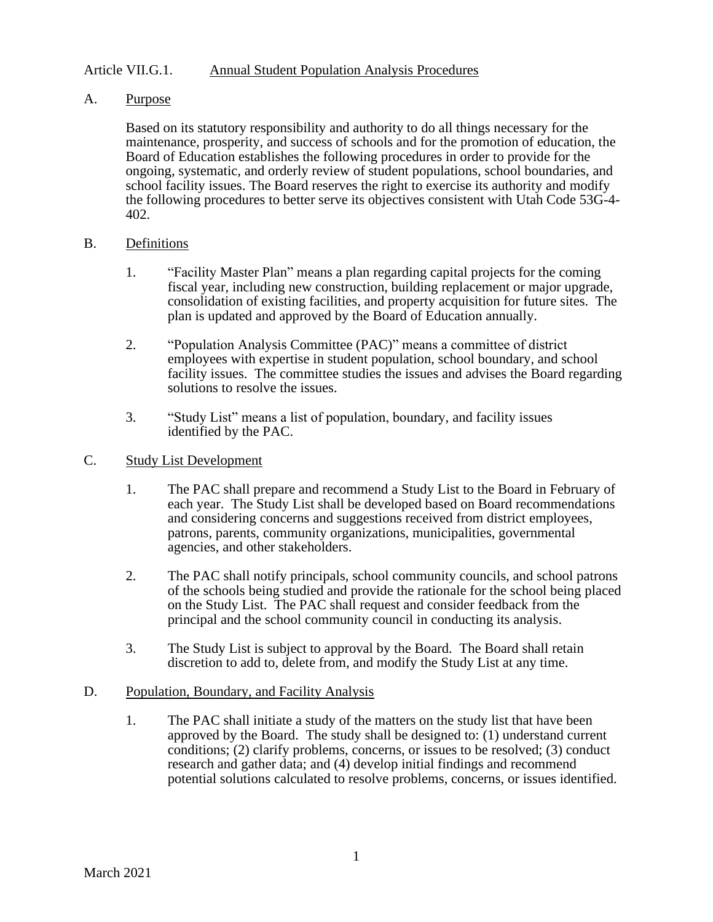## Article VII.G.1. Annual Student Population Analysis Procedures

## A. Purpose

Based on its statutory responsibility and authority to do all things necessary for the maintenance, prosperity, and success of schools and for the promotion of education, the Board of Education establishes the following procedures in order to provide for the ongoing, systematic, and orderly review of student populations, school boundaries, and school facility issues. The Board reserves the right to exercise its authority and modify the following procedures to better serve its objectives consistent with Utah Code 53G-4- 402.

### B. Definitions

- 1. "Facility Master Plan" means a plan regarding capital projects for the coming fiscal year, including new construction, building replacement or major upgrade, consolidation of existing facilities, and property acquisition for future sites. The plan is updated and approved by the Board of Education annually.
- 2. "Population Analysis Committee (PAC)" means a committee of district employees with expertise in student population, school boundary, and school facility issues. The committee studies the issues and advises the Board regarding solutions to resolve the issues.
- 3. "Study List" means a list of population, boundary, and facility issues identified by the PAC.

# C. Study List Development

- 1. The PAC shall prepare and recommend a Study List to the Board in February of each year. The Study List shall be developed based on Board recommendations and considering concerns and suggestions received from district employees, patrons, parents, community organizations, municipalities, governmental agencies, and other stakeholders.
- 2. The PAC shall notify principals, school community councils, and school patrons of the schools being studied and provide the rationale for the school being placed on the Study List. The PAC shall request and consider feedback from the principal and the school community council in conducting its analysis.
- 3. The Study List is subject to approval by the Board. The Board shall retain discretion to add to, delete from, and modify the Study List at any time.

### D. Population, Boundary, and Facility Analysis

1. The PAC shall initiate a study of the matters on the study list that have been approved by the Board. The study shall be designed to: (1) understand current conditions; (2) clarify problems, concerns, or issues to be resolved; (3) conduct research and gather data; and (4) develop initial findings and recommend potential solutions calculated to resolve problems, concerns, or issues identified.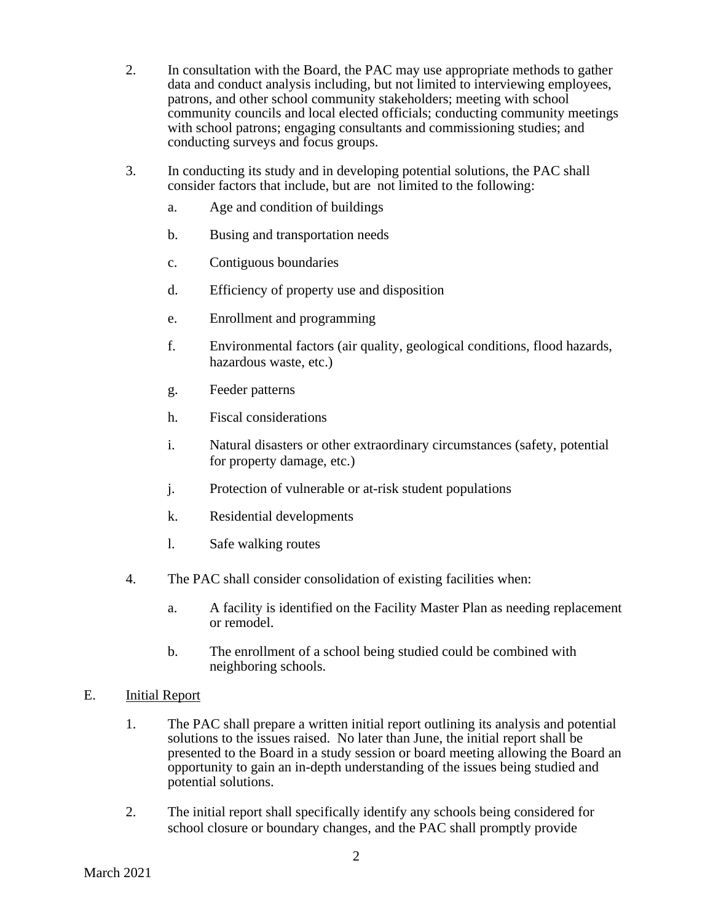- 2. In consultation with the Board, the PAC may use appropriate methods to gather data and conduct analysis including, but not limited to interviewing employees, patrons, and other school community stakeholders; meeting with school community councils and local elected officials; conducting community meetings with school patrons; engaging consultants and commissioning studies; and conducting surveys and focus groups.
- 3. In conducting its study and in developing potential solutions, the PAC shall consider factors that include, but are not limited to the following:
	- a. Age and condition of buildings
	- b. Busing and transportation needs
	- c. Contiguous boundaries
	- d. Efficiency of property use and disposition
	- e. Enrollment and programming
	- f. Environmental factors (air quality, geological conditions, flood hazards, hazardous waste, etc.)
	- g. Feeder patterns
	- h. Fiscal considerations
	- i. Natural disasters or other extraordinary circumstances (safety, potential for property damage, etc.)
	- j. Protection of vulnerable or at-risk student populations
	- k. Residential developments
	- l. Safe walking routes
- 4. The PAC shall consider consolidation of existing facilities when:
	- a. A facility is identified on the Facility Master Plan as needing replacement or remodel.
	- b. The enrollment of a school being studied could be combined with neighboring schools.
- E. **Initial Report** 
	- 1. The PAC shall prepare a written initial report outlining its analysis and potential solutions to the issues raised. No later than June, the initial report shall be presented to the Board in a study session or board meeting allowing the Board an opportunity to gain an in-depth understanding of the issues being studied and potential solutions.
	- 2. The initial report shall specifically identify any schools being considered for school closure or boundary changes, and the PAC shall promptly provide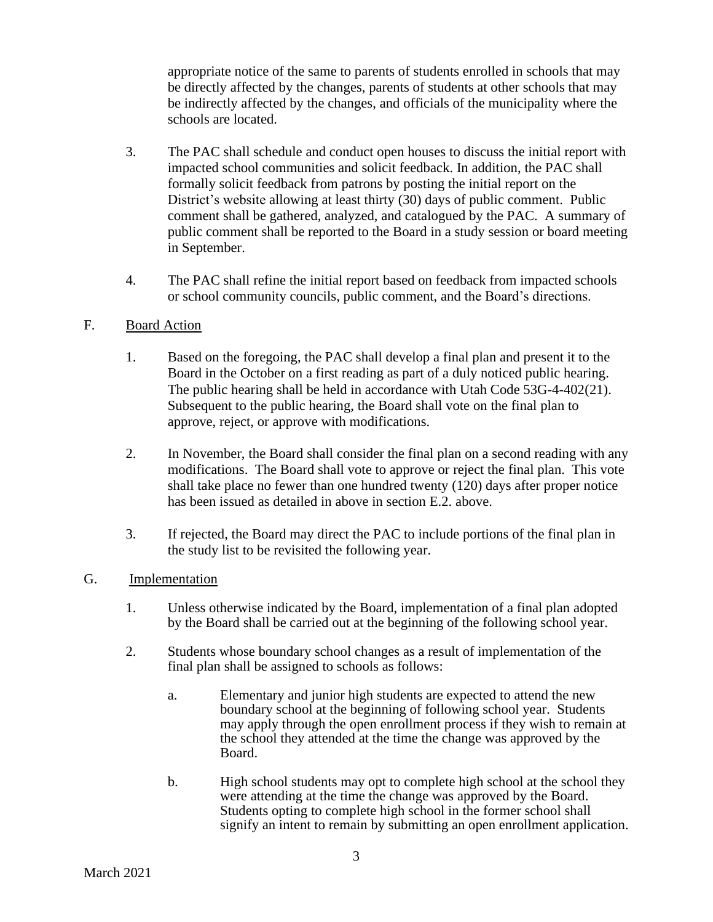appropriate notice of the same to parents of students enrolled in schools that may be directly affected by the changes, parents of students at other schools that may be indirectly affected by the changes, and officials of the municipality where the schools are located.

- 3. The PAC shall schedule and conduct open houses to discuss the initial report with impacted school communities and solicit feedback. In addition, the PAC shall formally solicit feedback from patrons by posting the initial report on the District's website allowing at least thirty (30) days of public comment. Public comment shall be gathered, analyzed, and catalogued by the PAC. A summary of public comment shall be reported to the Board in a study session or board meeting in September.
- 4. The PAC shall refine the initial report based on feedback from impacted schools or school community councils, public comment, and the Board's directions.

# F. Board Action

- 1. Based on the foregoing, the PAC shall develop a final plan and present it to the Board in the October on a first reading as part of a duly noticed public hearing. The public hearing shall be held in accordance with Utah Code 53G-4-402(21). Subsequent to the public hearing, the Board shall vote on the final plan to approve, reject, or approve with modifications.
- 2. In November, the Board shall consider the final plan on a second reading with any modifications. The Board shall vote to approve or reject the final plan. This vote shall take place no fewer than one hundred twenty (120) days after proper notice has been issued as detailed in above in section E.2. above.
- 3. If rejected, the Board may direct the PAC to include portions of the final plan in the study list to be revisited the following year.
- G. Implementation
	- 1. Unless otherwise indicated by the Board, implementation of a final plan adopted by the Board shall be carried out at the beginning of the following school year.
	- 2. Students whose boundary school changes as a result of implementation of the final plan shall be assigned to schools as follows:
		- a. Elementary and junior high students are expected to attend the new boundary school at the beginning of following school year. Students may apply through the open enrollment process if they wish to remain at the school they attended at the time the change was approved by the Board.
		- b. High school students may opt to complete high school at the school they were attending at the time the change was approved by the Board. Students opting to complete high school in the former school shall signify an intent to remain by submitting an open enrollment application.